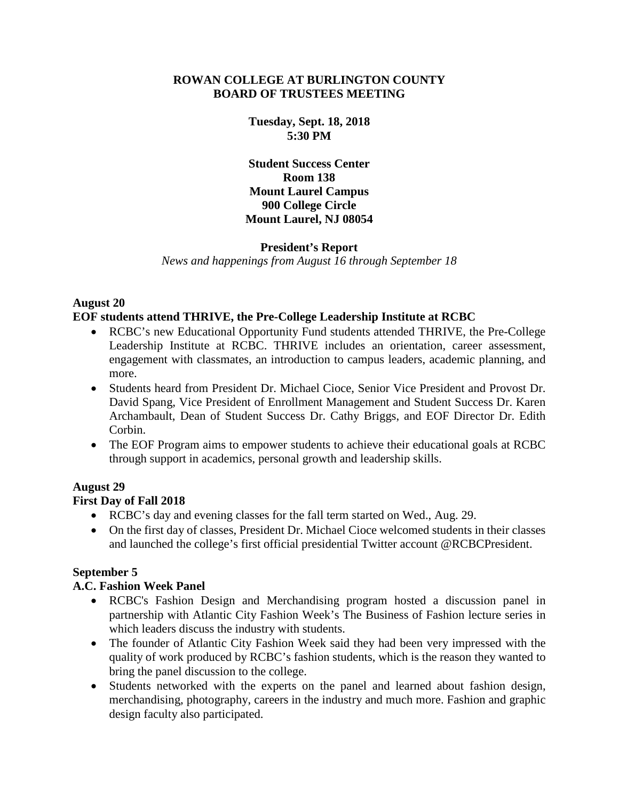### **ROWAN COLLEGE AT BURLINGTON COUNTY BOARD OF TRUSTEES MEETING**

**Tuesday, Sept. 18, 2018 5:30 PM**

**Student Success Center Room 138 Mount Laurel Campus 900 College Circle Mount Laurel, NJ 08054**

### **President's Report**

*News and happenings from August 16 through September 18*

# **August 20**

### **EOF students attend THRIVE, the Pre-College Leadership Institute at RCBC**

- RCBC's new Educational Opportunity Fund students attended THRIVE, the Pre-College Leadership Institute at RCBC. THRIVE includes an orientation, career assessment, engagement with classmates, an introduction to campus leaders, academic planning, and more.
- Students heard from President Dr. Michael Cioce, Senior Vice President and Provost Dr. David Spang, Vice President of Enrollment Management and Student Success Dr. Karen Archambault, Dean of Student Success Dr. Cathy Briggs, and EOF Director Dr. Edith Corbin.
- The EOF Program aims to empower students to achieve their educational goals at RCBC through support in academics, personal growth and leadership skills.

# **August 29**

# **First Day of Fall 2018**

- RCBC's day and evening classes for the fall term started on Wed., Aug. 29.
- On the first day of classes, President Dr. Michael Cioce welcomed students in their classes and launched the college's first official presidential Twitter account @RCBCPresident.

# **September 5**

# **A.C. Fashion Week Panel**

- RCBC's Fashion Design and Merchandising program hosted a discussion panel in partnership with Atlantic City Fashion Week's The Business of Fashion lecture series in which leaders discuss the industry with students.
- The founder of Atlantic City Fashion Week said they had been very impressed with the quality of work produced by RCBC's fashion students, which is the reason they wanted to bring the panel discussion to the college.
- Students networked with the experts on the panel and learned about fashion design, merchandising, photography, careers in the industry and much more. Fashion and graphic design faculty also participated.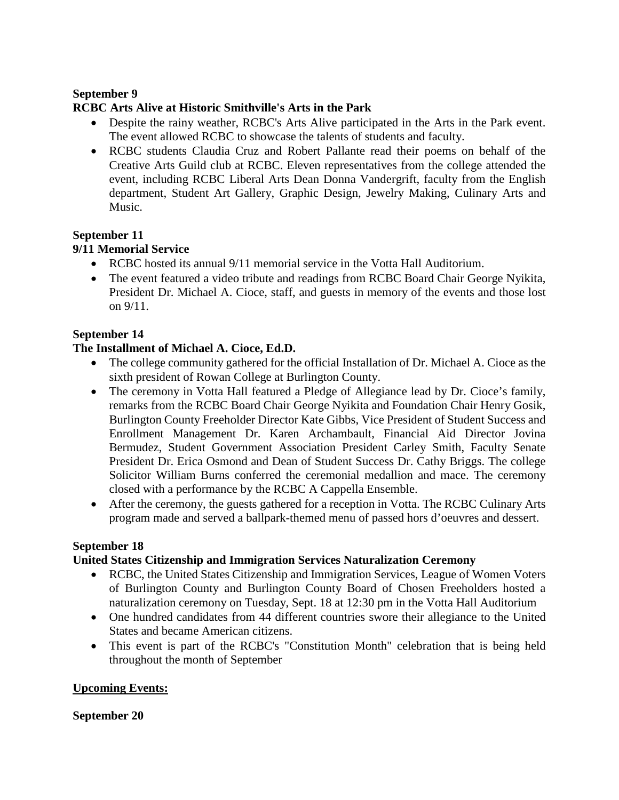### **September 9**

### **RCBC Arts Alive at Historic Smithville's Arts in the Park**

- Despite the rainy weather, RCBC's Arts Alive participated in the Arts in the Park event. The event allowed RCBC to showcase the talents of students and faculty.
- RCBC students Claudia Cruz and Robert Pallante read their poems on behalf of the Creative Arts Guild club at RCBC. Eleven representatives from the college attended the event, including RCBC Liberal Arts Dean Donna Vandergrift, faculty from the English department, Student Art Gallery, Graphic Design, Jewelry Making, Culinary Arts and Music.

# **September 11**

### **9/11 Memorial Service**

- RCBC hosted its annual 9/11 memorial service in the Votta Hall Auditorium.
- The event featured a video tribute and readings from RCBC Board Chair George Nyikita, President Dr. Michael A. Cioce, staff, and guests in memory of the events and those lost on 9/11.

### **September 14**

# **The Installment of Michael A. Cioce, Ed.D.**

- The college community gathered for the official Installation of Dr. Michael A. Cioce as the sixth president of Rowan College at Burlington County.
- The ceremony in Votta Hall featured a Pledge of Allegiance lead by Dr. Cioce's family, remarks from the RCBC Board Chair George Nyikita and Foundation Chair Henry Gosik, Burlington County Freeholder Director Kate Gibbs, Vice President of Student Success and Enrollment Management Dr. Karen Archambault, Financial Aid Director Jovina Bermudez, Student Government Association President Carley Smith, Faculty Senate President Dr. Erica Osmond and Dean of Student Success Dr. Cathy Briggs. The college Solicitor William Burns conferred the ceremonial medallion and mace. The ceremony closed with a performance by the RCBC A Cappella Ensemble.
- After the ceremony, the guests gathered for a reception in Votta. The RCBC Culinary Arts program made and served a ballpark-themed menu of passed hors d'oeuvres and dessert.

#### **September 18**

#### **United States Citizenship and Immigration Services Naturalization Ceremony**

- RCBC, the United States Citizenship and Immigration Services, League of Women Voters of Burlington County and Burlington County Board of Chosen Freeholders hosted a naturalization ceremony on Tuesday, Sept. 18 at 12:30 pm in the Votta Hall Auditorium
- One hundred candidates from 44 different countries swore their allegiance to the United States and became American citizens.
- This event is part of the RCBC's "Constitution Month" celebration that is being held throughout the month of September

#### **Upcoming Events:**

#### **September 20**